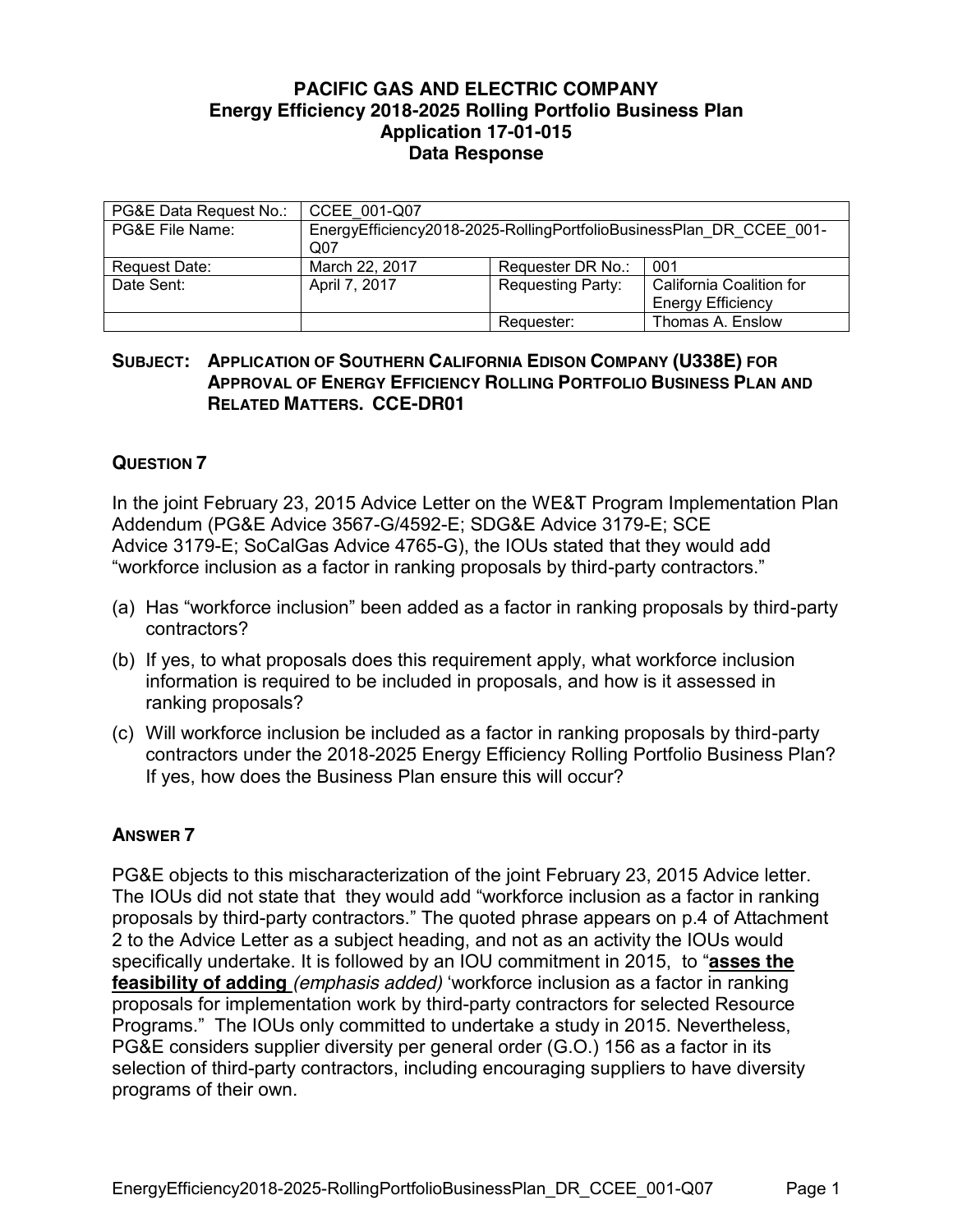## **PACIFIC GAS AND ELECTRIC COMPANY Energy Efficiency 2018-2025 Rolling Portfolio Business Plan Application 17-01-015 Data Response**

| PG&E Data Request No.: | CCEE 001-Q07                                                                           |                          |                          |
|------------------------|----------------------------------------------------------------------------------------|--------------------------|--------------------------|
| PG&E File Name:        | EnergyEfficiency2018-2025-RollingPortfolioBusinessPlan DR CCEE 001-<br>Q <sub>07</sub> |                          |                          |
| Request Date:          | March 22, 2017                                                                         | Requester DR No.:        | 001                      |
| Date Sent:             | April 7, 2017                                                                          | <b>Requesting Party:</b> | California Coalition for |
|                        |                                                                                        |                          | <b>Energy Efficiency</b> |
|                        |                                                                                        | Requester:               | Thomas A. Enslow         |

## **SUBJECT: APPLICATION OF SOUTHERN CALIFORNIA EDISON COMPANY (U338E) FOR APPROVAL OF ENERGY EFFICIENCY ROLLING PORTFOLIO BUSINESS PLAN AND RELATED MATTERS. CCE-DR01**

## **QUESTION 7**

In the joint February 23, 2015 Advice Letter on the WE&T Program Implementation Plan Addendum (PG&E Advice 3567-G/4592-E; SDG&E Advice 3179-E; SCE Advice 3179-E; SoCalGas Advice 4765-G), the IOUs stated that they would add "workforce inclusion as a factor in ranking proposals by third-party contractors."

- (a) Has "workforce inclusion" been added as a factor in ranking proposals by third-party contractors?
- (b) If yes, to what proposals does this requirement apply, what workforce inclusion information is required to be included in proposals, and how is it assessed in ranking proposals?
- (c) Will workforce inclusion be included as a factor in ranking proposals by third-party contractors under the 2018-2025 Energy Efficiency Rolling Portfolio Business Plan? If yes, how does the Business Plan ensure this will occur?

## **ANSWER 7**

PG&E objects to this mischaracterization of the joint February 23, 2015 Advice letter. The IOUs did not state that they would add "workforce inclusion as a factor in ranking proposals by third-party contractors." The quoted phrase appears on p.4 of Attachment 2 to the Advice Letter as a subject heading, and not as an activity the IOUs would specifically undertake. It is followed by an IOU commitment in 2015, to "**asses the feasibility of adding** *(emphasis added)* 'workforce inclusion as a factor in ranking proposals for implementation work by third-party contractors for selected Resource Programs." The IOUs only committed to undertake a study in 2015. Nevertheless, PG&E considers supplier diversity per general order (G.O.) 156 as a factor in its selection of third-party contractors, including encouraging suppliers to have diversity programs of their own.